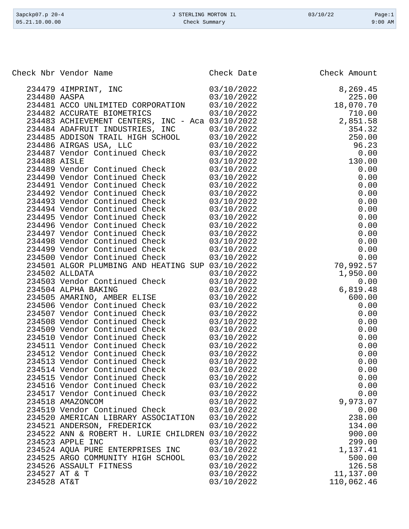| 3apckp07.p 20-4 | J STERLING MORTON IL | 03/10/22 | Page:1    |
|-----------------|----------------------|----------|-----------|
| 05.21.10.00.00  | Check Summary        |          | $9:00$ AM |

|              | Check Nbr Vendor Name                            | Check Date | Check Amount                 |
|--------------|--------------------------------------------------|------------|------------------------------|
|              | 234479 4IMPRINT, INC                             | 03/10/2022 | 8,269.45                     |
| 234480 AASPA |                                                  | 03/10/2022 | 225.00                       |
|              | 234481 ACCO UNLIMITED CORPORATION 03/10/2022     |            | 18,070.70                    |
|              | 234482 ACCURATE BIOMETRICS                       | 03/10/2022 | 710.00                       |
|              | 234483 ACHIEVEMENT CENTERS, INC - Aca 03/10/2022 |            | 2,851.58                     |
|              | 234484 ADAFRUIT INDUSTRIES, INC 03/10/2022       |            | 354.32                       |
|              | 234485 ADDISON TRAIL HIGH SCHOOL 03/10/2022      |            | 250.00                       |
|              | 234486 AIRGAS USA, LLC                           | 03/10/2022 | 96.23                        |
|              | 234487 Vendor Continued Check 03/10/2022         |            |                              |
| 234488 AISLE |                                                  | 03/10/2022 | $96.23 \ 0.00 \ 130.00$      |
|              | 234489 Vendor Continued Check 03/10/2022         |            | 0.00                         |
|              | 234490 Vendor Continued Check 03/10/2022         |            | 0.00                         |
|              | 234491 Vendor Continued Check 03/10/2022         |            | 0.00                         |
|              | 234492 Vendor Continued Check 03/10/2022         |            | 0.00                         |
|              | 234493 Vendor Continued Check 03/10/2022         |            | 0.00                         |
|              | 234494 Vendor Continued Check 03/10/2022         |            | 0.00                         |
|              | 234495 Vendor Continued Check 03/10/2022         |            | 0.00                         |
|              | 234496 Vendor Continued Check 03/10/2022         |            | 0.00                         |
|              | 234497 Vendor Continued Check 03/10/2022         |            | 0.00                         |
|              | 234498 Vendor Continued Check 03/10/2022         |            | 0.00                         |
|              | 234499 Vendor Continued Check 03/10/2022         |            | 0.00                         |
|              | 234500 Vendor Continued Check 03/10/2022         |            | 0.00                         |
|              | 234501 ALGOR PLUMBING AND HEATING SUP 03/10/2022 |            | 70,992.57                    |
|              | 234502 ALLDATA                                   | 03/10/2022 |                              |
|              | 234503 Vendor Continued Check                    | 03/10/2022 | 1,950.00<br>0.00<br>6,819.48 |
|              | 234504 ALPHA BAKING                              | 03/10/2022 |                              |
|              | 234505 AMARINO, AMBER ELISE                      | 03/10/2022 | 600.00                       |
|              | 234506 Vendor Continued Check                    | 03/10/2022 | 0.00                         |
|              | 234507 Vendor Continued Check                    | 03/10/2022 | 0.00                         |
|              | 234508 Vendor Continued Check 03/10/2022         |            | 0.00                         |
|              | 234509 Vendor Continued Check 03/10/2022         |            | 0.00                         |
|              | 234510 Vendor Continued Check 03/10/2022         |            | 0.00                         |
|              | 234511 Vendor Continued Check 03/10/2022         |            | 0.00                         |
|              | 234512 Vendor Continued Check 03/10/2022         |            | 0.00                         |
|              | 234513 Vendor Continued Check                    | 03/10/2022 | 0.00                         |
|              | 234514 Vendor Continued Check                    | 03/10/2022 | 0.00                         |
|              | 234515 Vendor Continued Check                    | 03/10/2022 | 0.00                         |
|              | 234516 Vendor Continued Check                    | 03/10/2022 | 0.00                         |
|              | 234517 Vendor Continued Check                    | 03/10/2022 | 0.00                         |
|              | 234518 AMAZONCOM                                 | 03/10/2022 | 9,973.07                     |
|              | 234519 Vendor Continued Check                    | 03/10/2022 | 0.00                         |
|              | 234520 AMERICAN LIBRARY ASSOCIATION              | 03/10/2022 | 238.00                       |
|              | 234521 ANDERSON, FREDERICK                       | 03/10/2022 | 134.00                       |
|              | 234522 ANN & ROBERT H. LURIE CHILDREN 03/10/2022 |            | 900.00                       |
|              | 234523 APPLE INC                                 | 03/10/2022 | 299.00                       |
|              | 234524 AQUA PURE ENTERPRISES INC                 | 03/10/2022 | 1,137.41                     |
|              | 234525 ARGO COMMUNITY HIGH SCHOOL                | 03/10/2022 | 500.00                       |
|              | 234526 ASSAULT FITNESS                           | 03/10/2022 | 126.58                       |
|              | 234527 AT & T                                    | 03/10/2022 | 11,137.00                    |
| 234528 AT&T  |                                                  | 03/10/2022 | 110,062.46                   |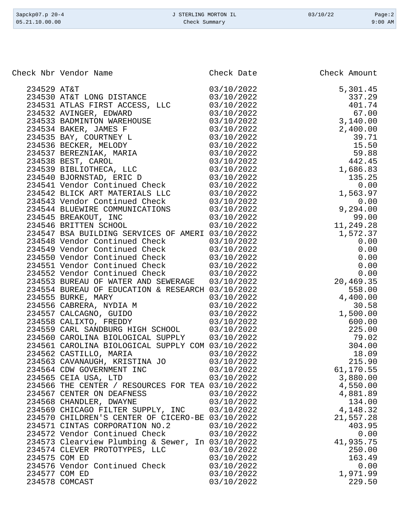| $3apckp07.p 20-4$ | J STERLING MORTON IL | 03/10/22 | Page:2    |
|-------------------|----------------------|----------|-----------|
| 05.21.10.00.00    | Check Summary        |          | $9:00$ AM |

| Check Nbr Vendor Name                                                                                                                                                                                                                          |                          | Check Date Check Amount                                                                                                                                                                                                                                                    |
|------------------------------------------------------------------------------------------------------------------------------------------------------------------------------------------------------------------------------------------------|--------------------------|----------------------------------------------------------------------------------------------------------------------------------------------------------------------------------------------------------------------------------------------------------------------------|
|                                                                                                                                                                                                                                                |                          | Check Amount<br>5, 301.45<br>337.29<br>401.74<br>67.00<br>3, 140.00<br>2, 400.00<br>3, 140.00<br>3, 400.00<br>39.71<br>15.50<br>59.88<br>1, 563.9<br>0.00<br>9, 294.00<br>9, 294.00<br>9, 294.00<br>9, 294.00<br>9, 294.00<br>9, 294.00<br>9, 294.00<br>9, 294.00<br>9, 20 |
|                                                                                                                                                                                                                                                |                          |                                                                                                                                                                                                                                                                            |
|                                                                                                                                                                                                                                                |                          |                                                                                                                                                                                                                                                                            |
|                                                                                                                                                                                                                                                |                          |                                                                                                                                                                                                                                                                            |
|                                                                                                                                                                                                                                                |                          |                                                                                                                                                                                                                                                                            |
|                                                                                                                                                                                                                                                |                          |                                                                                                                                                                                                                                                                            |
|                                                                                                                                                                                                                                                |                          |                                                                                                                                                                                                                                                                            |
|                                                                                                                                                                                                                                                |                          |                                                                                                                                                                                                                                                                            |
|                                                                                                                                                                                                                                                |                          |                                                                                                                                                                                                                                                                            |
|                                                                                                                                                                                                                                                |                          |                                                                                                                                                                                                                                                                            |
|                                                                                                                                                                                                                                                |                          |                                                                                                                                                                                                                                                                            |
|                                                                                                                                                                                                                                                |                          |                                                                                                                                                                                                                                                                            |
| 234542 BLICK ART MATERIALS LLC 03/10/2022<br>234543 Vendor Continued Check 03/10/2022                                                                                                                                                          |                          |                                                                                                                                                                                                                                                                            |
|                                                                                                                                                                                                                                                |                          |                                                                                                                                                                                                                                                                            |
|                                                                                                                                                                                                                                                |                          |                                                                                                                                                                                                                                                                            |
| 234544 BLUEWIRE COMMUNICATIONS<br>234545 BREAKOUT, INC 03/10/2022<br>234546 BRITTEN SCHOOL 03/10/2022                                                                                                                                          |                          |                                                                                                                                                                                                                                                                            |
|                                                                                                                                                                                                                                                |                          |                                                                                                                                                                                                                                                                            |
| 234547 BSA BUILDING SERVICES OF AMERI 03/10/2022                                                                                                                                                                                               |                          |                                                                                                                                                                                                                                                                            |
|                                                                                                                                                                                                                                                |                          |                                                                                                                                                                                                                                                                            |
|                                                                                                                                                                                                                                                |                          |                                                                                                                                                                                                                                                                            |
|                                                                                                                                                                                                                                                |                          |                                                                                                                                                                                                                                                                            |
| 234548 Vendor Continued Check 03/10/2022<br>234550 Vendor Continued Check 03/10/2022<br>234550 Vendor Continued Check 03/10/2022<br>234551 Vendor Continued Check 03/10/2022<br>234552 Vendor Continued Check 03/10/2022                       |                          |                                                                                                                                                                                                                                                                            |
| 234553 BUREAU OF WATER AND SEWERAGE 03/10/2022                                                                                                                                                                                                 |                          |                                                                                                                                                                                                                                                                            |
| 234554 BUREAU OF EDUCATION & RESEARCH 03/10/2022                                                                                                                                                                                               |                          |                                                                                                                                                                                                                                                                            |
|                                                                                                                                                                                                                                                |                          |                                                                                                                                                                                                                                                                            |
|                                                                                                                                                                                                                                                |                          |                                                                                                                                                                                                                                                                            |
|                                                                                                                                                                                                                                                |                          |                                                                                                                                                                                                                                                                            |
| 234555 BURKE, MARY<br>234555 BURKE, MARY<br>234556 CABRERA, NYDIA M<br>234557 CALCAGNO, GUIDO<br>234557 CALCAGNO, GUIDO<br>234558 CALIXTO, FREDDY<br>234559 CARL SANDBURG HIGH SCHOOL<br>234559 CARL SANDBURG HIGH SCHOOL<br>234559 CARL SANDB |                          |                                                                                                                                                                                                                                                                            |
|                                                                                                                                                                                                                                                |                          |                                                                                                                                                                                                                                                                            |
| 234560 CAROLINA BIOLOGICAL SUPPLY 03/10/2022                                                                                                                                                                                                   |                          |                                                                                                                                                                                                                                                                            |
| 234561 CAROLINA BIOLOGICAL SUPPLY COM 03/10/2022                                                                                                                                                                                               |                          |                                                                                                                                                                                                                                                                            |
| 234562 CASTILLO, MARIA 63/10/2022<br>234563 CAVANAUGH, KRISTINA JO 63/10/2022                                                                                                                                                                  |                          |                                                                                                                                                                                                                                                                            |
|                                                                                                                                                                                                                                                |                          |                                                                                                                                                                                                                                                                            |
| 234564 CDW GOVERNMENT INC                                                                                                                                                                                                                      | 03/10/2022               | 61,170.55                                                                                                                                                                                                                                                                  |
| 234565 CEIA USA, LTD                                                                                                                                                                                                                           | 03/10/2022               | 3,880.00                                                                                                                                                                                                                                                                   |
| 234566 THE CENTER / RESOURCES FOR TEA 03/10/2022                                                                                                                                                                                               |                          | 4,550.00                                                                                                                                                                                                                                                                   |
| 234567 CENTER ON DEAFNESS                                                                                                                                                                                                                      | 03/10/2022               | 4,881.89                                                                                                                                                                                                                                                                   |
| 234568 CHANDLER, DWAYNE                                                                                                                                                                                                                        | 03/10/2022               | 134.00                                                                                                                                                                                                                                                                     |
| 234569 CHICAGO FILTER SUPPLY, INC                                                                                                                                                                                                              | 03/10/2022               | 4,148.32                                                                                                                                                                                                                                                                   |
| 234570 CHILDREN'S CENTER OF CICERO-BE 03/10/2022                                                                                                                                                                                               |                          | 21,557.28<br>403.95                                                                                                                                                                                                                                                        |
| 234571 CINTAS CORPORATION NO.2<br>234572 Vendor Continued Check                                                                                                                                                                                | 03/10/2022<br>03/10/2022 | 0.00                                                                                                                                                                                                                                                                       |
| 234573 Clearview Plumbing & Sewer, In 03/10/2022                                                                                                                                                                                               |                          | 41,935.75                                                                                                                                                                                                                                                                  |
| 234574 CLEVER PROTOTYPES, LLC                                                                                                                                                                                                                  | 03/10/2022               | 250.00                                                                                                                                                                                                                                                                     |
| 234575 COM ED                                                                                                                                                                                                                                  | 03/10/2022               | 163.49                                                                                                                                                                                                                                                                     |
| 234576 Vendor Continued Check                                                                                                                                                                                                                  | 03/10/2022               | 0.00                                                                                                                                                                                                                                                                       |
| 234577 COM ED                                                                                                                                                                                                                                  | 03/10/2022               | 1,971.99                                                                                                                                                                                                                                                                   |
| 234578 COMCAST                                                                                                                                                                                                                                 | 03/10/2022               | 229.50                                                                                                                                                                                                                                                                     |
|                                                                                                                                                                                                                                                |                          |                                                                                                                                                                                                                                                                            |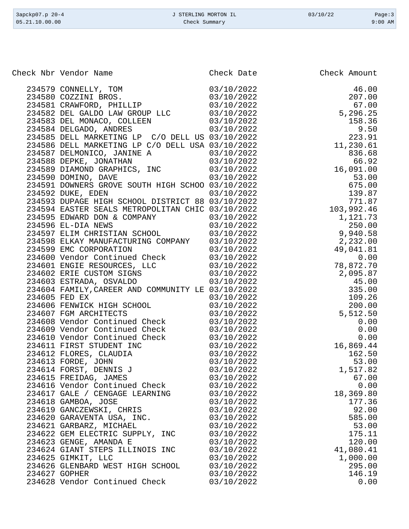| 3apckp07.p 20-4 | J STERLING MORTON IL | 03/10/22 | Page:3    |
|-----------------|----------------------|----------|-----------|
| 05.21.10.00.00  | Check Summary        |          | $9:00$ AM |

| Check Nbr Vendor Name            | Check Date | Check Amount |
|----------------------------------|------------|--------------|
|                                  |            |              |
|                                  |            |              |
|                                  |            |              |
|                                  |            |              |
|                                  |            |              |
|                                  |            |              |
|                                  |            |              |
|                                  |            |              |
|                                  |            |              |
|                                  |            |              |
|                                  |            |              |
|                                  |            |              |
|                                  |            |              |
|                                  |            |              |
|                                  |            |              |
|                                  |            |              |
|                                  |            |              |
|                                  |            |              |
|                                  |            |              |
|                                  |            |              |
|                                  |            |              |
|                                  |            |              |
|                                  |            |              |
|                                  |            |              |
|                                  |            |              |
|                                  |            |              |
|                                  |            |              |
|                                  |            |              |
|                                  |            |              |
|                                  |            |              |
|                                  |            |              |
|                                  |            |              |
|                                  |            |              |
|                                  |            |              |
|                                  |            |              |
|                                  |            |              |
| 234615 FREIDAG, JAMES            | 03/10/2022 | 67.00        |
| 234616 Vendor Continued Check    | 03/10/2022 | 0.00         |
| 234617 GALE / CENGAGE LEARNING   | 03/10/2022 | 18,369.80    |
| 234618 GAMBOA, JOSE              | 03/10/2022 | 177.36       |
| 234619 GANCZEWSKI, CHRIS         | 03/10/2022 | 92.00        |
| 234620 GARAVENTA USA, INC.       | 03/10/2022 | 585.00       |
| 234621 GARBARZ, MICHAEL          | 03/10/2022 | 53.00        |
| 234622 GEM ELECTRIC SUPPLY, INC  | 03/10/2022 | 175.11       |
| 234623 GENGE, AMANDA E           | 03/10/2022 | 120.00       |
| 234624 GIANT STEPS ILLINOIS INC  | 03/10/2022 | 41,080.41    |
| 234625 GIMKIT, LLC               | 03/10/2022 | 1,000.00     |
| 234626 GLENBARD WEST HIGH SCHOOL | 03/10/2022 | 295.00       |
| 234627 GOPHER                    | 03/10/2022 | 146.19       |
| 234628 Vendor Continued Check    | 03/10/2022 | 0.00         |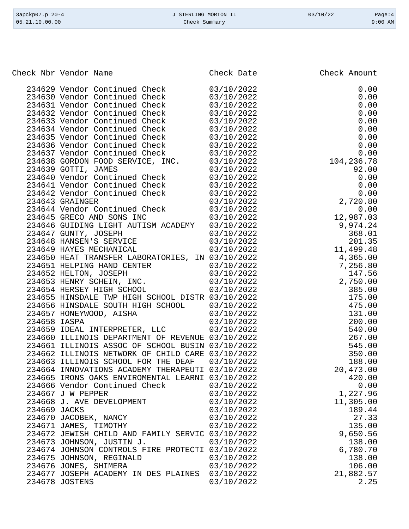| 3apckp07.p 20-4<br>05.21.10.00.00 | J STERLING MORTON IL<br>Check Summary            |            | 03/10/22     | Page:4<br>$9:00$ AM |
|-----------------------------------|--------------------------------------------------|------------|--------------|---------------------|
|                                   |                                                  |            |              |                     |
|                                   | Check Nbr Vendor Name                            | Check Date | Check Amount |                     |
|                                   | 234629 Vendor Continued Check                    | 03/10/2022 |              | 0.00                |
|                                   | 234630 Vendor Continued Check                    | 03/10/2022 |              | 0.00                |
|                                   | 234631 Vendor Continued Check                    | 03/10/2022 |              | 0.00                |
|                                   | 234632 Vendor Continued Check                    | 03/10/2022 |              | 0.00                |
|                                   | 234633 Vendor Continued Check                    | 03/10/2022 |              | 0.00                |
|                                   | 234634 Vendor Continued Check                    | 03/10/2022 |              | 0.00                |
|                                   | 234635 Vendor Continued Check                    | 03/10/2022 |              | 0.00                |
|                                   | 234636 Vendor Continued Check                    | 03/10/2022 |              | 0.00                |
|                                   | 234637 Vendor Continued Check                    | 03/10/2022 |              | 0.00                |
|                                   | 234638 GORDON FOOD SERVICE, INC.                 | 03/10/2022 | 104,236.78   |                     |
|                                   | 234639 GOTTI, JAMES                              | 03/10/2022 |              | 92.00               |
|                                   | 234640 Vendor Continued Check                    | 03/10/2022 |              | 0.00                |
|                                   | 234641 Vendor Continued Check                    | 03/10/2022 |              | 0.00                |
|                                   | 234642 Vendor Continued Check                    | 03/10/2022 |              | 0.00                |
|                                   | 234643 GRAINGER                                  | 03/10/2022 | 2,720.80     |                     |
|                                   | 234644 Vendor Continued Check                    | 03/10/2022 |              | 0.00                |
|                                   | 234645 GRECO AND SONS INC                        | 03/10/2022 | 12,987.03    |                     |
|                                   | 234646 GUIDING LIGHT AUTISM ACADEMY              | 03/10/2022 | 9,974.24     |                     |
|                                   | 234647 GUNTY, JOSEPH                             | 03/10/2022 | 368.01       |                     |
|                                   | 234648 HANSEN'S SERVICE                          | 03/10/2022 | 201.35       |                     |
|                                   | 234649 HAYES MECHANICAL                          | 03/10/2022 | 11,499.48    |                     |
|                                   | 234650 HEAT TRANSFER LABORATORIES, IN 03/10/2022 |            | 4,365.00     |                     |
|                                   | 234651 HELPING HAND CENTER                       | 03/10/2022 | 7,256.80     |                     |
|                                   | 234652 HELTON, JOSEPH                            | 03/10/2022 | 147.56       |                     |
|                                   | 234653 HENRY SCHEIN, INC.                        | 03/10/2022 | 2,750.00     |                     |
|                                   | 234654 HERSEY HIGH SCHOOL                        | 03/10/2022 | 385.00       |                     |
|                                   | 234655 HINSDALE TWP HIGH SCHOOL DISTR 03/10/2022 |            | 175.00       |                     |
|                                   | 234656 HINSDALE SOUTH HIGH SCHOOL                | 03/10/2022 | 475.00       |                     |
|                                   | 234657 HONEYWOOD, AISHA                          | 03/10/2022 | 131.00       |                     |
| 234658 IASPA                      |                                                  | 03/10/2022 | 200.00       |                     |

|              |                                                                                                     |            | 173.UU    |
|--------------|-----------------------------------------------------------------------------------------------------|------------|-----------|
|              | 234657 HONEYWOOD, AISHA 03/10/2022                                                                  |            | 131.00    |
| 234658 IASPA | 03/10/2022                                                                                          |            | 200.00    |
|              | 234659 IDEAL INTERPRETER, LLC 03/10/2022                                                            |            | 540.00    |
|              | 234660 ILLINOIS DEPARTMENT OF REVENUE 03/10/2022                                                    |            | 267.00    |
|              | 234661 ILLINOIS ASSOC OF SCHOOL BUSIN 03/10/2022                                                    |            | 545.00    |
|              | 234662 ILLINOIS NETWORK OF CHILD CARE 03/10/2022                                                    |            | 350.00    |
|              | $234663$ ILLINOIS SCHOOL FOR THE DEAF $03/10/2022$                                                  |            | 188.00    |
|              | 234664 INNOVATIONS ACADEMY THERAPEUTI 03/10/2022                                                    |            | 20,473.00 |
|              | 234665 IRONS OAKS ENVIROMENTAL LEARNI 03/10/2022                                                    |            | 420.00    |
|              | 234666 Vendor Continued Check 03/10/2022                                                            |            | 0.00      |
|              | 234667 J W PEPPER 03/10/2022                                                                        |            | 1,227.96  |
|              | 234668 J. AVE DEVELOPMENT 03/10/2022<br>234669 JACKS 03/10/2022<br>234670 JACOBEK, NANCY 03/10/2022 |            | 11,305.00 |
|              |                                                                                                     |            | 189.44    |
|              |                                                                                                     |            | 27.33     |
|              | 234671 JAMES, TIMOTHY 03/10/2022                                                                    |            | 135.00    |
|              | 234672 JEWISH CHILD AND FAMILY SERVIC 03/10/2022                                                    |            | 9,650.56  |
|              | 234673 JOHNSON, JUSTIN J. 03/10/2022                                                                |            | 138.00    |
|              | 234674 JOHNSON CONTROLS FIRE PROTECTI 03/10/2022                                                    |            | 6,780.70  |
|              | 234675 JOHNSON, REGINALD 03/10/2022                                                                 |            | 138.00    |
|              | 234676 JONES, SHIMERA 03/10/2022                                                                    |            | 106.00    |
|              | 234677 JOSEPH ACADEMY IN DES PLAINES 03/10/2022                                                     |            | 21,882.57 |
|              | 234678 JOSTENS                                                                                      | 03/10/2022 | 2.25      |
|              |                                                                                                     |            |           |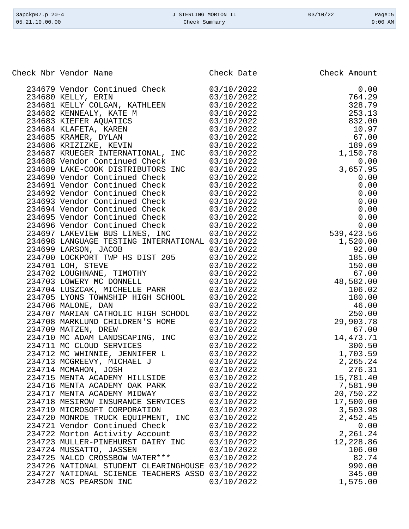| 3apckp07.p 20-4 | J STERLING MORTON IL | 03/10/22 | Page:5    |
|-----------------|----------------------|----------|-----------|
| 05.21.10.00.00  | Check Summary        |          | $9:00$ AM |
|                 |                      |          |           |

Check Nbr Vendor Name **Check Date** Check Date Check Amount

| 234679 Vendor Continued Check                                                                                                             | 03/10/2022 | 0.00        |
|-------------------------------------------------------------------------------------------------------------------------------------------|------------|-------------|
| 234680 KELLY, ERIN                                                                                                                        | 03/10/2022 | 764.29      |
| 234681 KELLY COLGAN, KATHLEEN                                                                                                             | 03/10/2022 | 328.79      |
| 234682 KENNEALY, KATE M<br>234683 KIEFER AQUATICS                                                                                         | 03/10/2022 | 253.13      |
|                                                                                                                                           | 03/10/2022 | 832.00      |
| 234684 KLAFETA, KAREN                                                                                                                     | 03/10/2022 | 10.97       |
|                                                                                                                                           | 03/10/2022 | 67.00       |
| 234685 KRAMER, DYLAN<br>234686 KRIZIZKE, KEVIN<br>234685 YEVISI                                                                           | 03/10/2022 | 189.69      |
| 234687 KRUEGER INTERNATIONAL, INC                                                                                                         | 03/10/2022 | 1,150.78    |
| 234688 Vendor Continued Check                                                                                                             | 03/10/2022 | 0.00        |
| 234689 LAKE-COOK DISTRIBUTORS INC                                                                                                         | 03/10/2022 | 3,657.95    |
| 234690 Vendor Continued Check                                                                                                             | 03/10/2022 | 0.00        |
| 234691 Vendor Continued Check                                                                                                             | 03/10/2022 | 0.00        |
| 234692 Vendor Continued Check                                                                                                             | 03/10/2022 | 0.00        |
| 234693 Vendor Continued Check                                                                                                             | 03/10/2022 | 0.00        |
| 234694 Vendor Continued Check                                                                                                             | 03/10/2022 | 0.00        |
| 234695 Vendor Continued Check                                                                                                             |            | 0.00        |
|                                                                                                                                           | 03/10/2022 | 0.00        |
| 234696 Vendor Continued Check<br>234696 Vendor Continued Check<br>234697 LAKEVIEW BUS LINES, INC                                          | 03/10/2022 |             |
|                                                                                                                                           | 03/10/2022 | 539,423.56  |
| 234698 LANGUAGE TESTING INTERNATIONAL 03/10/2022                                                                                          |            | 1,520.00    |
| 234699 LARSON, JACOB                                                                                                                      | 03/10/2022 | 92.00       |
|                                                                                                                                           | 03/10/2022 | 185.00      |
|                                                                                                                                           | 03/10/2022 | 150.00      |
|                                                                                                                                           | 03/10/2022 | 67.00       |
| 234700 LOCKPORT TWP HS DIST 205<br>234701 LOH, STEVE<br>234702 LOUGHNANE, TIMOTHY<br>234703 LOWERY MC DONNELL<br>234703 LOWERY MC DONNELL | 03/10/2022 | 48,582.00   |
| 234704 LUSZCAK, MICHELLE PARR                                                                                                             | 03/10/2022 | 106.02      |
| 234705 LYONS TOWNSHIP HIGH SCHOOL<br>234706 MALONE, DAN                                                                                   | 03/10/2022 | 180.00      |
| 234706 MALONE, DAN                                                                                                                        | 03/10/2022 | 46.00       |
| 234707 MARIAN CATHOLIC HIGH SCHOOL                                                                                                        | 03/10/2022 | 250.00      |
| 234708 MARKLUND CHILDREN'S HOME                                                                                                           | 03/10/2022 | 29,903.78   |
| 234709 MATZEN, DREW                                                                                                                       | 03/10/2022 | 67.00       |
| 234710 MC ADAM LANDSCAPING, INC<br>224711 MC GLOUD SERVICES                                                                               | 03/10/2022 | 14, 473. 71 |
| 234711 MC CLOUD SERVICES                                                                                                                  | 03/10/2022 | 300.50      |
| 234712 MC WHINNIE, JENNIFER L                                                                                                             | 03/10/2022 | 1,703.59    |
|                                                                                                                                           | 03/10/2022 | 2,265.24    |
| 234713 MCGREEVY, MICHAEL J<br>234714 MCMAHON, JOSH                                                                                        | 03/10/2022 | 276.31      |
| 234715 MENTA ACADEMY HILLSIDE                                                                                                             | 03/10/2022 | 15,781.40   |
| 234716 MENTA ACADEMY OAK PARK                                                                                                             | 03/10/2022 | 7,581.90    |
| 234717 MENTA ACADEMY MIDWAY                                                                                                               | 03/10/2022 | 20,750.22   |
| 234718 MESIROW INSURANCE SERVICES                                                                                                         | 03/10/2022 | 17,500.00   |
| 234719 MICROSOFT CORPORATION                                                                                                              | 03/10/2022 | 3,503.98    |
| 234720 MONROE TRUCK EQUIPMENT, INC                                                                                                        | 03/10/2022 | 2,452.45    |
| 234721 Vendor Continued Check                                                                                                             | 03/10/2022 | 0.00        |
| 234722 Morton Activity Account                                                                                                            | 03/10/2022 | 2,261.24    |
| 234723 MULLER-PINEHURST DAIRY INC                                                                                                         | 03/10/2022 | 12,228.86   |
| 234724 MUSSATTO, JASSEN                                                                                                                   | 03/10/2022 | 106.00      |
| 234725 NALCO CROSSBOW WATER***                                                                                                            | 03/10/2022 | 82.74       |
| 234726 NATIONAL STUDENT CLEARINGHOUSE 03/10/2022                                                                                          |            | 990.00      |
| 234727 NATIONAL SCIENCE TEACHERS ASSO 03/10/2022                                                                                          |            | 345.00      |
| 234728 NCS PEARSON INC                                                                                                                    | 03/10/2022 | 1,575.00    |
|                                                                                                                                           |            |             |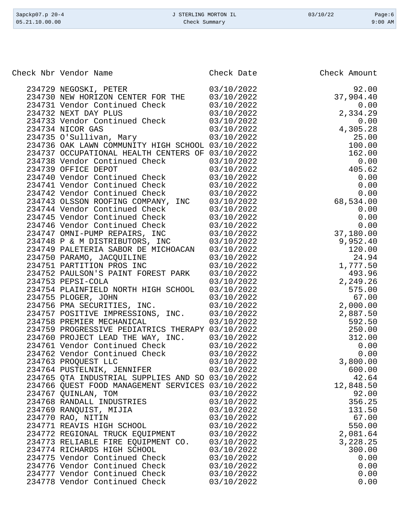| 3apckp07.p 20-4<br>05.21.10.00.00 | J STERLING MORTON IL<br>Check Summary | 03/10/22 | Page:6<br>$9:00$ AM |
|-----------------------------------|---------------------------------------|----------|---------------------|
|                                   |                                       |          |                     |
|                                   |                                       |          |                     |

Check Nbr Vendor Name **Check Date** Check Date Check Amount

| 234729 NEGOSKI, PETER<br>03/10/2022<br>92.00<br>234730 NEW HORIZON CENTER FOR THE<br>37,904.40<br>03/10/2022<br>234731 Vendor Continued Check<br>234732 NEXT DAY PLUS<br>03/10/2022<br>0.00<br>$\overline{\phantom{a}}$<br>2,334.29<br>03/10/2022<br>234733 Vendor Continued Check<br>03/10/2022<br>0.00<br>4.3(<br>234734 NICOR GAS<br>234735 O'Sullivan, Mary<br>4,305.28<br>03/10/2022<br>25.00<br>03/10/2022<br>100.00<br>234736 OAK LAWN COMMUNITY HIGH SCHOOL 03/10/2022<br>162.00<br>234737 OCCUPATIONAL HEALTH CENTERS OF 03/10/2022<br>03/10/2022<br>234738 Vendor Continued Check<br>234739 OFFICE DEPOT<br>0.00<br>0.00<br>68,534.00<br>0.0<br>0.0<br>9,95<br>1<br>234739 OFFICE DEPOT<br>03/10/2022<br>234740 Vendor Continued Check<br>03/10/2022<br>234741 Vendor Continued Check<br>234742 Vendor Continued Check<br>03/10/2022<br>03/10/2022<br>234743 OLSSON ROOFING COMPANY, INC<br>234744 Vendor Continued Check<br>234745 Vendor Continued Check<br>03/10/2022<br>03/10/2022<br>03/10/2022<br>234746 Vendor Continued Check<br>234746 Vendor Continued Check<br>234747 OMNI-PUMP REPAIRS, INC<br>03/10/2022<br>03/10/2022<br>234748 P & M DISTRIBUTORS, INC 03/10/2022<br>234749 PALETERIA SABOR DE MICHOACAN 03/10/2022<br>234750 PARAMO, JACQUILINE<br>234751 PARTITION PROS INC<br>03/10/2022<br>24.94<br>1,777.50<br>03/10/2022<br>234752 PAULSON'S PAINT FOREST PARK<br>493.96<br>03/10/2022<br>234753 PEPSI-COLA<br>2,249.26<br>03/10/2022<br>234754 PLAINFIELD NORTH HIGH SCHOOL 03/10/2022<br>575.00<br>234755 PLOGER, JOHN<br>67.00<br>03/10/2022<br>234756 PMA SECURITIES, INC.<br>03/10/2022<br>2,000.00<br>$\begin{array}{r} 2,887.50\ 2,887.50\ 592.50\ 250.00\ 312.00\ 0.00\ 0.00\ 3,800.00\ 600.00\ 42.64\ \end{array}$<br>234757 POSITIVE IMPRESSIONS, INC. 03/10/2022<br>234758 PREMIER MECHANICAL<br>03/10/2022<br>234759 PROGRESSIVE PEDIATRICS THERAPY 03/10/2022<br>234760 PROJECT LEAD THE WAY, INC. 03/10/2022<br>234761 Vendor Continued Check<br>03/10/2022<br>234762 Vendor Continued Check<br>234763 PROQUEST LLC<br>03/10/2022<br>03/10/2022<br>234764 PUSTELNIK, JENNIFER 03/10/2022<br>234765 QTA INDUSTRIAL SUPPLIES AND SO 03/10/2022<br>42.64<br>234766 QUEST FOOD MANAGEMENT SERVICES 03/10/2022<br>12,848.50<br>234767 QUINLAN, TOM<br>92.00<br>03/10/2022<br>234768 RANDALL INDUSTRIES<br>356.25<br>03/10/2022<br>234769 RANQUIST, MIJIA<br>03/10/2022<br>131.50<br>234770 RAO, NITIN<br>67.00<br>03/10/2022<br>550.00<br>234771 REAVIS HIGH SCHOOL<br>03/10/2022<br>234772 REGIONAL TRUCK EQUIPMENT<br>03/10/2022<br>2,081.64<br>234773 RELIABLE FIRE EQUIPMENT CO.<br>3,228.25<br>03/10/2022<br>300.00<br>234774 RICHARDS HIGH SCHOOL<br>03/10/2022<br>234775 Vendor Continued Check<br>03/10/2022<br>0.00<br>234776 Vendor Continued Check<br>03/10/2022<br>0.00<br>234777 Vendor Continued Check<br>03/10/2022<br>0.00<br>234778 Vendor Continued Check<br>03/10/2022<br>0.00 |  |  |
|-------------------------------------------------------------------------------------------------------------------------------------------------------------------------------------------------------------------------------------------------------------------------------------------------------------------------------------------------------------------------------------------------------------------------------------------------------------------------------------------------------------------------------------------------------------------------------------------------------------------------------------------------------------------------------------------------------------------------------------------------------------------------------------------------------------------------------------------------------------------------------------------------------------------------------------------------------------------------------------------------------------------------------------------------------------------------------------------------------------------------------------------------------------------------------------------------------------------------------------------------------------------------------------------------------------------------------------------------------------------------------------------------------------------------------------------------------------------------------------------------------------------------------------------------------------------------------------------------------------------------------------------------------------------------------------------------------------------------------------------------------------------------------------------------------------------------------------------------------------------------------------------------------------------------------------------------------------------------------------------------------------------------------------------------------------------------------------------------------------------------------------------------------------------------------------------------------------------------------------------------------------------------------------------------------------------------------------------------------------------------------------------------------------------------------------------------------------------------------------------------------------------------------------------------------------------------------------------------------------------------------------------------------------------------------------------------------------------------------------------------------------------------------------------------------------------------------------------------------------------------------------------------------------------------------------------|--|--|
|                                                                                                                                                                                                                                                                                                                                                                                                                                                                                                                                                                                                                                                                                                                                                                                                                                                                                                                                                                                                                                                                                                                                                                                                                                                                                                                                                                                                                                                                                                                                                                                                                                                                                                                                                                                                                                                                                                                                                                                                                                                                                                                                                                                                                                                                                                                                                                                                                                                                                                                                                                                                                                                                                                                                                                                                                                                                                                                                           |  |  |
|                                                                                                                                                                                                                                                                                                                                                                                                                                                                                                                                                                                                                                                                                                                                                                                                                                                                                                                                                                                                                                                                                                                                                                                                                                                                                                                                                                                                                                                                                                                                                                                                                                                                                                                                                                                                                                                                                                                                                                                                                                                                                                                                                                                                                                                                                                                                                                                                                                                                                                                                                                                                                                                                                                                                                                                                                                                                                                                                           |  |  |
|                                                                                                                                                                                                                                                                                                                                                                                                                                                                                                                                                                                                                                                                                                                                                                                                                                                                                                                                                                                                                                                                                                                                                                                                                                                                                                                                                                                                                                                                                                                                                                                                                                                                                                                                                                                                                                                                                                                                                                                                                                                                                                                                                                                                                                                                                                                                                                                                                                                                                                                                                                                                                                                                                                                                                                                                                                                                                                                                           |  |  |
|                                                                                                                                                                                                                                                                                                                                                                                                                                                                                                                                                                                                                                                                                                                                                                                                                                                                                                                                                                                                                                                                                                                                                                                                                                                                                                                                                                                                                                                                                                                                                                                                                                                                                                                                                                                                                                                                                                                                                                                                                                                                                                                                                                                                                                                                                                                                                                                                                                                                                                                                                                                                                                                                                                                                                                                                                                                                                                                                           |  |  |
|                                                                                                                                                                                                                                                                                                                                                                                                                                                                                                                                                                                                                                                                                                                                                                                                                                                                                                                                                                                                                                                                                                                                                                                                                                                                                                                                                                                                                                                                                                                                                                                                                                                                                                                                                                                                                                                                                                                                                                                                                                                                                                                                                                                                                                                                                                                                                                                                                                                                                                                                                                                                                                                                                                                                                                                                                                                                                                                                           |  |  |
|                                                                                                                                                                                                                                                                                                                                                                                                                                                                                                                                                                                                                                                                                                                                                                                                                                                                                                                                                                                                                                                                                                                                                                                                                                                                                                                                                                                                                                                                                                                                                                                                                                                                                                                                                                                                                                                                                                                                                                                                                                                                                                                                                                                                                                                                                                                                                                                                                                                                                                                                                                                                                                                                                                                                                                                                                                                                                                                                           |  |  |
|                                                                                                                                                                                                                                                                                                                                                                                                                                                                                                                                                                                                                                                                                                                                                                                                                                                                                                                                                                                                                                                                                                                                                                                                                                                                                                                                                                                                                                                                                                                                                                                                                                                                                                                                                                                                                                                                                                                                                                                                                                                                                                                                                                                                                                                                                                                                                                                                                                                                                                                                                                                                                                                                                                                                                                                                                                                                                                                                           |  |  |
|                                                                                                                                                                                                                                                                                                                                                                                                                                                                                                                                                                                                                                                                                                                                                                                                                                                                                                                                                                                                                                                                                                                                                                                                                                                                                                                                                                                                                                                                                                                                                                                                                                                                                                                                                                                                                                                                                                                                                                                                                                                                                                                                                                                                                                                                                                                                                                                                                                                                                                                                                                                                                                                                                                                                                                                                                                                                                                                                           |  |  |
|                                                                                                                                                                                                                                                                                                                                                                                                                                                                                                                                                                                                                                                                                                                                                                                                                                                                                                                                                                                                                                                                                                                                                                                                                                                                                                                                                                                                                                                                                                                                                                                                                                                                                                                                                                                                                                                                                                                                                                                                                                                                                                                                                                                                                                                                                                                                                                                                                                                                                                                                                                                                                                                                                                                                                                                                                                                                                                                                           |  |  |
|                                                                                                                                                                                                                                                                                                                                                                                                                                                                                                                                                                                                                                                                                                                                                                                                                                                                                                                                                                                                                                                                                                                                                                                                                                                                                                                                                                                                                                                                                                                                                                                                                                                                                                                                                                                                                                                                                                                                                                                                                                                                                                                                                                                                                                                                                                                                                                                                                                                                                                                                                                                                                                                                                                                                                                                                                                                                                                                                           |  |  |
|                                                                                                                                                                                                                                                                                                                                                                                                                                                                                                                                                                                                                                                                                                                                                                                                                                                                                                                                                                                                                                                                                                                                                                                                                                                                                                                                                                                                                                                                                                                                                                                                                                                                                                                                                                                                                                                                                                                                                                                                                                                                                                                                                                                                                                                                                                                                                                                                                                                                                                                                                                                                                                                                                                                                                                                                                                                                                                                                           |  |  |
|                                                                                                                                                                                                                                                                                                                                                                                                                                                                                                                                                                                                                                                                                                                                                                                                                                                                                                                                                                                                                                                                                                                                                                                                                                                                                                                                                                                                                                                                                                                                                                                                                                                                                                                                                                                                                                                                                                                                                                                                                                                                                                                                                                                                                                                                                                                                                                                                                                                                                                                                                                                                                                                                                                                                                                                                                                                                                                                                           |  |  |
|                                                                                                                                                                                                                                                                                                                                                                                                                                                                                                                                                                                                                                                                                                                                                                                                                                                                                                                                                                                                                                                                                                                                                                                                                                                                                                                                                                                                                                                                                                                                                                                                                                                                                                                                                                                                                                                                                                                                                                                                                                                                                                                                                                                                                                                                                                                                                                                                                                                                                                                                                                                                                                                                                                                                                                                                                                                                                                                                           |  |  |
|                                                                                                                                                                                                                                                                                                                                                                                                                                                                                                                                                                                                                                                                                                                                                                                                                                                                                                                                                                                                                                                                                                                                                                                                                                                                                                                                                                                                                                                                                                                                                                                                                                                                                                                                                                                                                                                                                                                                                                                                                                                                                                                                                                                                                                                                                                                                                                                                                                                                                                                                                                                                                                                                                                                                                                                                                                                                                                                                           |  |  |
|                                                                                                                                                                                                                                                                                                                                                                                                                                                                                                                                                                                                                                                                                                                                                                                                                                                                                                                                                                                                                                                                                                                                                                                                                                                                                                                                                                                                                                                                                                                                                                                                                                                                                                                                                                                                                                                                                                                                                                                                                                                                                                                                                                                                                                                                                                                                                                                                                                                                                                                                                                                                                                                                                                                                                                                                                                                                                                                                           |  |  |
|                                                                                                                                                                                                                                                                                                                                                                                                                                                                                                                                                                                                                                                                                                                                                                                                                                                                                                                                                                                                                                                                                                                                                                                                                                                                                                                                                                                                                                                                                                                                                                                                                                                                                                                                                                                                                                                                                                                                                                                                                                                                                                                                                                                                                                                                                                                                                                                                                                                                                                                                                                                                                                                                                                                                                                                                                                                                                                                                           |  |  |
|                                                                                                                                                                                                                                                                                                                                                                                                                                                                                                                                                                                                                                                                                                                                                                                                                                                                                                                                                                                                                                                                                                                                                                                                                                                                                                                                                                                                                                                                                                                                                                                                                                                                                                                                                                                                                                                                                                                                                                                                                                                                                                                                                                                                                                                                                                                                                                                                                                                                                                                                                                                                                                                                                                                                                                                                                                                                                                                                           |  |  |
|                                                                                                                                                                                                                                                                                                                                                                                                                                                                                                                                                                                                                                                                                                                                                                                                                                                                                                                                                                                                                                                                                                                                                                                                                                                                                                                                                                                                                                                                                                                                                                                                                                                                                                                                                                                                                                                                                                                                                                                                                                                                                                                                                                                                                                                                                                                                                                                                                                                                                                                                                                                                                                                                                                                                                                                                                                                                                                                                           |  |  |
|                                                                                                                                                                                                                                                                                                                                                                                                                                                                                                                                                                                                                                                                                                                                                                                                                                                                                                                                                                                                                                                                                                                                                                                                                                                                                                                                                                                                                                                                                                                                                                                                                                                                                                                                                                                                                                                                                                                                                                                                                                                                                                                                                                                                                                                                                                                                                                                                                                                                                                                                                                                                                                                                                                                                                                                                                                                                                                                                           |  |  |
|                                                                                                                                                                                                                                                                                                                                                                                                                                                                                                                                                                                                                                                                                                                                                                                                                                                                                                                                                                                                                                                                                                                                                                                                                                                                                                                                                                                                                                                                                                                                                                                                                                                                                                                                                                                                                                                                                                                                                                                                                                                                                                                                                                                                                                                                                                                                                                                                                                                                                                                                                                                                                                                                                                                                                                                                                                                                                                                                           |  |  |
|                                                                                                                                                                                                                                                                                                                                                                                                                                                                                                                                                                                                                                                                                                                                                                                                                                                                                                                                                                                                                                                                                                                                                                                                                                                                                                                                                                                                                                                                                                                                                                                                                                                                                                                                                                                                                                                                                                                                                                                                                                                                                                                                                                                                                                                                                                                                                                                                                                                                                                                                                                                                                                                                                                                                                                                                                                                                                                                                           |  |  |
|                                                                                                                                                                                                                                                                                                                                                                                                                                                                                                                                                                                                                                                                                                                                                                                                                                                                                                                                                                                                                                                                                                                                                                                                                                                                                                                                                                                                                                                                                                                                                                                                                                                                                                                                                                                                                                                                                                                                                                                                                                                                                                                                                                                                                                                                                                                                                                                                                                                                                                                                                                                                                                                                                                                                                                                                                                                                                                                                           |  |  |
|                                                                                                                                                                                                                                                                                                                                                                                                                                                                                                                                                                                                                                                                                                                                                                                                                                                                                                                                                                                                                                                                                                                                                                                                                                                                                                                                                                                                                                                                                                                                                                                                                                                                                                                                                                                                                                                                                                                                                                                                                                                                                                                                                                                                                                                                                                                                                                                                                                                                                                                                                                                                                                                                                                                                                                                                                                                                                                                                           |  |  |
|                                                                                                                                                                                                                                                                                                                                                                                                                                                                                                                                                                                                                                                                                                                                                                                                                                                                                                                                                                                                                                                                                                                                                                                                                                                                                                                                                                                                                                                                                                                                                                                                                                                                                                                                                                                                                                                                                                                                                                                                                                                                                                                                                                                                                                                                                                                                                                                                                                                                                                                                                                                                                                                                                                                                                                                                                                                                                                                                           |  |  |
|                                                                                                                                                                                                                                                                                                                                                                                                                                                                                                                                                                                                                                                                                                                                                                                                                                                                                                                                                                                                                                                                                                                                                                                                                                                                                                                                                                                                                                                                                                                                                                                                                                                                                                                                                                                                                                                                                                                                                                                                                                                                                                                                                                                                                                                                                                                                                                                                                                                                                                                                                                                                                                                                                                                                                                                                                                                                                                                                           |  |  |
|                                                                                                                                                                                                                                                                                                                                                                                                                                                                                                                                                                                                                                                                                                                                                                                                                                                                                                                                                                                                                                                                                                                                                                                                                                                                                                                                                                                                                                                                                                                                                                                                                                                                                                                                                                                                                                                                                                                                                                                                                                                                                                                                                                                                                                                                                                                                                                                                                                                                                                                                                                                                                                                                                                                                                                                                                                                                                                                                           |  |  |
|                                                                                                                                                                                                                                                                                                                                                                                                                                                                                                                                                                                                                                                                                                                                                                                                                                                                                                                                                                                                                                                                                                                                                                                                                                                                                                                                                                                                                                                                                                                                                                                                                                                                                                                                                                                                                                                                                                                                                                                                                                                                                                                                                                                                                                                                                                                                                                                                                                                                                                                                                                                                                                                                                                                                                                                                                                                                                                                                           |  |  |
|                                                                                                                                                                                                                                                                                                                                                                                                                                                                                                                                                                                                                                                                                                                                                                                                                                                                                                                                                                                                                                                                                                                                                                                                                                                                                                                                                                                                                                                                                                                                                                                                                                                                                                                                                                                                                                                                                                                                                                                                                                                                                                                                                                                                                                                                                                                                                                                                                                                                                                                                                                                                                                                                                                                                                                                                                                                                                                                                           |  |  |
|                                                                                                                                                                                                                                                                                                                                                                                                                                                                                                                                                                                                                                                                                                                                                                                                                                                                                                                                                                                                                                                                                                                                                                                                                                                                                                                                                                                                                                                                                                                                                                                                                                                                                                                                                                                                                                                                                                                                                                                                                                                                                                                                                                                                                                                                                                                                                                                                                                                                                                                                                                                                                                                                                                                                                                                                                                                                                                                                           |  |  |
|                                                                                                                                                                                                                                                                                                                                                                                                                                                                                                                                                                                                                                                                                                                                                                                                                                                                                                                                                                                                                                                                                                                                                                                                                                                                                                                                                                                                                                                                                                                                                                                                                                                                                                                                                                                                                                                                                                                                                                                                                                                                                                                                                                                                                                                                                                                                                                                                                                                                                                                                                                                                                                                                                                                                                                                                                                                                                                                                           |  |  |
|                                                                                                                                                                                                                                                                                                                                                                                                                                                                                                                                                                                                                                                                                                                                                                                                                                                                                                                                                                                                                                                                                                                                                                                                                                                                                                                                                                                                                                                                                                                                                                                                                                                                                                                                                                                                                                                                                                                                                                                                                                                                                                                                                                                                                                                                                                                                                                                                                                                                                                                                                                                                                                                                                                                                                                                                                                                                                                                                           |  |  |
|                                                                                                                                                                                                                                                                                                                                                                                                                                                                                                                                                                                                                                                                                                                                                                                                                                                                                                                                                                                                                                                                                                                                                                                                                                                                                                                                                                                                                                                                                                                                                                                                                                                                                                                                                                                                                                                                                                                                                                                                                                                                                                                                                                                                                                                                                                                                                                                                                                                                                                                                                                                                                                                                                                                                                                                                                                                                                                                                           |  |  |
|                                                                                                                                                                                                                                                                                                                                                                                                                                                                                                                                                                                                                                                                                                                                                                                                                                                                                                                                                                                                                                                                                                                                                                                                                                                                                                                                                                                                                                                                                                                                                                                                                                                                                                                                                                                                                                                                                                                                                                                                                                                                                                                                                                                                                                                                                                                                                                                                                                                                                                                                                                                                                                                                                                                                                                                                                                                                                                                                           |  |  |
|                                                                                                                                                                                                                                                                                                                                                                                                                                                                                                                                                                                                                                                                                                                                                                                                                                                                                                                                                                                                                                                                                                                                                                                                                                                                                                                                                                                                                                                                                                                                                                                                                                                                                                                                                                                                                                                                                                                                                                                                                                                                                                                                                                                                                                                                                                                                                                                                                                                                                                                                                                                                                                                                                                                                                                                                                                                                                                                                           |  |  |
|                                                                                                                                                                                                                                                                                                                                                                                                                                                                                                                                                                                                                                                                                                                                                                                                                                                                                                                                                                                                                                                                                                                                                                                                                                                                                                                                                                                                                                                                                                                                                                                                                                                                                                                                                                                                                                                                                                                                                                                                                                                                                                                                                                                                                                                                                                                                                                                                                                                                                                                                                                                                                                                                                                                                                                                                                                                                                                                                           |  |  |
|                                                                                                                                                                                                                                                                                                                                                                                                                                                                                                                                                                                                                                                                                                                                                                                                                                                                                                                                                                                                                                                                                                                                                                                                                                                                                                                                                                                                                                                                                                                                                                                                                                                                                                                                                                                                                                                                                                                                                                                                                                                                                                                                                                                                                                                                                                                                                                                                                                                                                                                                                                                                                                                                                                                                                                                                                                                                                                                                           |  |  |
|                                                                                                                                                                                                                                                                                                                                                                                                                                                                                                                                                                                                                                                                                                                                                                                                                                                                                                                                                                                                                                                                                                                                                                                                                                                                                                                                                                                                                                                                                                                                                                                                                                                                                                                                                                                                                                                                                                                                                                                                                                                                                                                                                                                                                                                                                                                                                                                                                                                                                                                                                                                                                                                                                                                                                                                                                                                                                                                                           |  |  |
|                                                                                                                                                                                                                                                                                                                                                                                                                                                                                                                                                                                                                                                                                                                                                                                                                                                                                                                                                                                                                                                                                                                                                                                                                                                                                                                                                                                                                                                                                                                                                                                                                                                                                                                                                                                                                                                                                                                                                                                                                                                                                                                                                                                                                                                                                                                                                                                                                                                                                                                                                                                                                                                                                                                                                                                                                                                                                                                                           |  |  |
|                                                                                                                                                                                                                                                                                                                                                                                                                                                                                                                                                                                                                                                                                                                                                                                                                                                                                                                                                                                                                                                                                                                                                                                                                                                                                                                                                                                                                                                                                                                                                                                                                                                                                                                                                                                                                                                                                                                                                                                                                                                                                                                                                                                                                                                                                                                                                                                                                                                                                                                                                                                                                                                                                                                                                                                                                                                                                                                                           |  |  |
|                                                                                                                                                                                                                                                                                                                                                                                                                                                                                                                                                                                                                                                                                                                                                                                                                                                                                                                                                                                                                                                                                                                                                                                                                                                                                                                                                                                                                                                                                                                                                                                                                                                                                                                                                                                                                                                                                                                                                                                                                                                                                                                                                                                                                                                                                                                                                                                                                                                                                                                                                                                                                                                                                                                                                                                                                                                                                                                                           |  |  |
|                                                                                                                                                                                                                                                                                                                                                                                                                                                                                                                                                                                                                                                                                                                                                                                                                                                                                                                                                                                                                                                                                                                                                                                                                                                                                                                                                                                                                                                                                                                                                                                                                                                                                                                                                                                                                                                                                                                                                                                                                                                                                                                                                                                                                                                                                                                                                                                                                                                                                                                                                                                                                                                                                                                                                                                                                                                                                                                                           |  |  |
|                                                                                                                                                                                                                                                                                                                                                                                                                                                                                                                                                                                                                                                                                                                                                                                                                                                                                                                                                                                                                                                                                                                                                                                                                                                                                                                                                                                                                                                                                                                                                                                                                                                                                                                                                                                                                                                                                                                                                                                                                                                                                                                                                                                                                                                                                                                                                                                                                                                                                                                                                                                                                                                                                                                                                                                                                                                                                                                                           |  |  |
|                                                                                                                                                                                                                                                                                                                                                                                                                                                                                                                                                                                                                                                                                                                                                                                                                                                                                                                                                                                                                                                                                                                                                                                                                                                                                                                                                                                                                                                                                                                                                                                                                                                                                                                                                                                                                                                                                                                                                                                                                                                                                                                                                                                                                                                                                                                                                                                                                                                                                                                                                                                                                                                                                                                                                                                                                                                                                                                                           |  |  |
|                                                                                                                                                                                                                                                                                                                                                                                                                                                                                                                                                                                                                                                                                                                                                                                                                                                                                                                                                                                                                                                                                                                                                                                                                                                                                                                                                                                                                                                                                                                                                                                                                                                                                                                                                                                                                                                                                                                                                                                                                                                                                                                                                                                                                                                                                                                                                                                                                                                                                                                                                                                                                                                                                                                                                                                                                                                                                                                                           |  |  |
|                                                                                                                                                                                                                                                                                                                                                                                                                                                                                                                                                                                                                                                                                                                                                                                                                                                                                                                                                                                                                                                                                                                                                                                                                                                                                                                                                                                                                                                                                                                                                                                                                                                                                                                                                                                                                                                                                                                                                                                                                                                                                                                                                                                                                                                                                                                                                                                                                                                                                                                                                                                                                                                                                                                                                                                                                                                                                                                                           |  |  |
|                                                                                                                                                                                                                                                                                                                                                                                                                                                                                                                                                                                                                                                                                                                                                                                                                                                                                                                                                                                                                                                                                                                                                                                                                                                                                                                                                                                                                                                                                                                                                                                                                                                                                                                                                                                                                                                                                                                                                                                                                                                                                                                                                                                                                                                                                                                                                                                                                                                                                                                                                                                                                                                                                                                                                                                                                                                                                                                                           |  |  |
|                                                                                                                                                                                                                                                                                                                                                                                                                                                                                                                                                                                                                                                                                                                                                                                                                                                                                                                                                                                                                                                                                                                                                                                                                                                                                                                                                                                                                                                                                                                                                                                                                                                                                                                                                                                                                                                                                                                                                                                                                                                                                                                                                                                                                                                                                                                                                                                                                                                                                                                                                                                                                                                                                                                                                                                                                                                                                                                                           |  |  |
|                                                                                                                                                                                                                                                                                                                                                                                                                                                                                                                                                                                                                                                                                                                                                                                                                                                                                                                                                                                                                                                                                                                                                                                                                                                                                                                                                                                                                                                                                                                                                                                                                                                                                                                                                                                                                                                                                                                                                                                                                                                                                                                                                                                                                                                                                                                                                                                                                                                                                                                                                                                                                                                                                                                                                                                                                                                                                                                                           |  |  |
|                                                                                                                                                                                                                                                                                                                                                                                                                                                                                                                                                                                                                                                                                                                                                                                                                                                                                                                                                                                                                                                                                                                                                                                                                                                                                                                                                                                                                                                                                                                                                                                                                                                                                                                                                                                                                                                                                                                                                                                                                                                                                                                                                                                                                                                                                                                                                                                                                                                                                                                                                                                                                                                                                                                                                                                                                                                                                                                                           |  |  |
|                                                                                                                                                                                                                                                                                                                                                                                                                                                                                                                                                                                                                                                                                                                                                                                                                                                                                                                                                                                                                                                                                                                                                                                                                                                                                                                                                                                                                                                                                                                                                                                                                                                                                                                                                                                                                                                                                                                                                                                                                                                                                                                                                                                                                                                                                                                                                                                                                                                                                                                                                                                                                                                                                                                                                                                                                                                                                                                                           |  |  |
|                                                                                                                                                                                                                                                                                                                                                                                                                                                                                                                                                                                                                                                                                                                                                                                                                                                                                                                                                                                                                                                                                                                                                                                                                                                                                                                                                                                                                                                                                                                                                                                                                                                                                                                                                                                                                                                                                                                                                                                                                                                                                                                                                                                                                                                                                                                                                                                                                                                                                                                                                                                                                                                                                                                                                                                                                                                                                                                                           |  |  |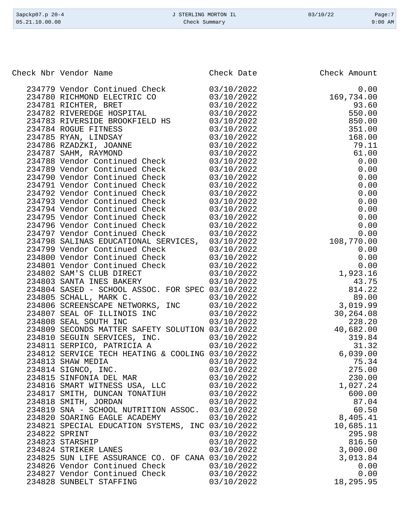| 3apckp07.p 20-4 | J STERLING MORTON IL | 03/10/22 | Page:7    |
|-----------------|----------------------|----------|-----------|
| 05.21.10.00.00  | Check Summary        |          | $9:00$ AM |

Check Nbr Vendor Name **Check Date** Check Date Check Amount

| 234779 Vendor Continued Check                             | 03/10/2022 | 0.00       |
|-----------------------------------------------------------|------------|------------|
| 234780 RICHMOND ELECTRIC CO                               | 03/10/2022 | 169,734.00 |
| 234781 RICHTER, BRET                                      | 03/10/2022 | 93.60      |
| 234782 RIVEREDGE HOSPITAL                                 | 03/10/2022 | 550.00     |
| 234783 RIVERSIDE BROOKFIELD HS                            | 03/10/2022 | 850.00     |
| 234784 ROGUE FITNESS                                      | 03/10/2022 | 351.00     |
| 234785 RYAN, LINDSAY                                      | 03/10/2022 | 168.00     |
| 234786 RZADZKI, JOANNE                                    | 03/10/2022 | 79.11      |
| 234787 SAHM, RAYMOND                                      | 03/10/2022 | 61.00      |
| 234788 Vendor Continued Check                             | 03/10/2022 | 0.00       |
| 234789 Vendor Continued Check                             | 03/10/2022 | 0.00       |
|                                                           | 03/10/2022 | 0.00       |
| 234790 Vendor Continued Check                             |            |            |
| 234791 Vendor Continued Check                             | 03/10/2022 | 0.00       |
| 234792 Vendor Continued Check                             | 03/10/2022 | 0.00       |
| 234793 Vendor Continued Check                             | 03/10/2022 | 0.00       |
| 234794 Vendor Continued Check                             | 03/10/2022 | 0.00       |
| 234795 Vendor Continued Check                             | 03/10/2022 | 0.00       |
| 234796 Vendor Continued Check                             | 03/10/2022 | 0.00       |
| 234797 Vendor Continued Check                             | 03/10/2022 | 0.00       |
| 234798 SALINAS EDUCATIONAL SERVICES, 03/10/2022           |            | 108,770.00 |
| 234799 Vendor Continued Check                             | 03/10/2022 | 0.00       |
| 234800 Vendor Continued Check                             | 03/10/2022 | 0.00       |
| 234801 Vendor Continued Check<br>234802 SAM'S CLUB DIRECT | 03/10/2022 | 0.00       |
|                                                           | 03/10/2022 | 1,923.16   |
| 234803 SANTA INES BAKERY                                  | 03/10/2022 | 43.75      |
| 234804 SASED - SCHOOL ASSOC. FOR SPEC 03/10/2022          |            | 814.22     |
| 234805 SCHALL, MARK C.                                    | 03/10/2022 | 89.00      |
| 234806 SCREENSCAPE NETWORKS, INC                          | 03/10/2022 | 3,019.99   |
|                                                           | 03/10/2022 | 30,264.08  |
| 234807 SEAL OF ILLINOIS INC<br>234808 SEAL SOUTH INC      | 03/10/2022 | 228.20     |
| 234809 SECONDS MATTER SAFETY SOLUTION 03/10/2022          |            | 40,682.00  |
| 234810 SEGUIN SERVICES, INC.                              | 03/10/2022 | 319.84     |
| 234811 SERPICO, PATRICIA A                                | 03/10/2022 | 31.32      |
| 234812 SERVICE TECH HEATING & COOLING 03/10/2022          |            | 6,039.00   |
| 234813 SHAW MEDIA                                         | 03/10/2022 | 75.34      |
| 234814 SIGNCO, INC.                                       | 03/10/2022 | 275.00     |
| 234815 SINFONIA DEL MAR                                   | 03/10/2022 | 230.00     |
| 234816 SMART WITNESS USA, LLC                             | 03/10/2022 | 1,027.24   |
| 234817 SMITH, DUNCAN TONATIUH                             | 03/10/2022 | 600.00     |
| 234818 SMITH, JORDAN                                      | 03/10/2022 | 87.04      |
|                                                           |            | 60.50      |
| 234819 SNA - SCHOOL NUTRITION ASSOC.                      | 03/10/2022 |            |
| 234820 SOARING EAGLE ACADEMY                              | 03/10/2022 | 8,405.41   |
| 234821 SPECIAL EDUCATION SYSTEMS, INC 03/10/2022          |            | 10,685.11  |
| 234822 SPRINT                                             | 03/10/2022 | 295.98     |
| 234823 STARSHIP                                           | 03/10/2022 | 816.50     |
| 234824 STRIKER LANES                                      | 03/10/2022 | 3,000.00   |
| 234825 SUN LIFE ASSURANCE CO. OF CANA 03/10/2022          |            | 3,013.84   |
| 234826 Vendor Continued Check                             | 03/10/2022 | 0.00       |
| 234827 Vendor Continued Check                             | 03/10/2022 | 0.00       |
| 234828 SUNBELT STAFFING                                   | 03/10/2022 | 18,295.95  |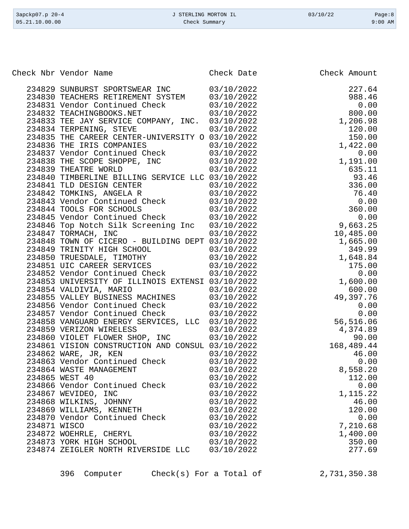|              | Check Nbr Vendor Name                                                                                       | Check Date               | Check Amount       |
|--------------|-------------------------------------------------------------------------------------------------------------|--------------------------|--------------------|
|              |                                                                                                             |                          |                    |
|              | 234829 SUNBURST SPORTSWEAR INC 03/10/2022                                                                   |                          | 227.64             |
|              | 234830 TEACHERS RETIREMENT SYSTEM 03/10/2022                                                                |                          | 988.46             |
|              | 234831 Vendor Continued Check 03/10/2022                                                                    |                          | 0.00               |
|              | 03/10/2022<br>234832 TEACHINGBOOKS.NET                                                                      |                          | 800.00             |
|              | 234833 TEE JAY SERVICE COMPANY, INC. 03/10/2022                                                             |                          | 1,206.98           |
|              | 234834 TERPENING, STEVE                                                                                     | 03/10/2022               | 120.00             |
|              | 234835 THE CAREER CENTER-UNIVERSITY O 03/10/2022                                                            |                          | 150.00             |
|              | 234836 THE IRIS COMPANIES                                                                                   | 03/10/2022               | 1,422.00           |
|              | 234837 Vendor Continued Check 03/10/2022                                                                    |                          | 0.00               |
|              | 234838 THE SCOPE SHOPPE, INC 03/10/2022<br>234839 THEATRE WORLD 03/10/2022                                  |                          | 1,191.00           |
|              |                                                                                                             |                          | 635.11             |
|              | 234840 TIMBERLINE BILLING SERVICE LLC 03/10/2022                                                            |                          | 93.46              |
|              | 234841 TLD DESIGN CENTER                                                                                    | 03/10/2022               | 336.00             |
|              |                                                                                                             |                          | 76.40              |
|              | 234842 TOMKINS, ANGELA R<br>234843 Vendor Continued Check 03/10/2022<br>234844 TOOLS FOR SCHOOLS 03/10/2022 |                          | 0.00               |
|              |                                                                                                             |                          | 360.00             |
|              | 234845 Vendor Continued Check 03/10/2022                                                                    |                          | 0.00               |
|              | 234846 Top Notch Silk Screening Inc 03/10/2022                                                              |                          | 9,663.25           |
|              | 234847 TORMACH, INC                                                                                         | 03/10/2022               | 10,485.00          |
|              | 234848 TOWN OF CICERO - BUILDING DEPT 03/10/2022                                                            |                          | 1,665.00           |
|              | 234849 TRINITY HIGH SCHOOL                                                                                  | 03/10/2022               | 349.99             |
|              | 234850 TRUESDALE, TIMOTHY 03/10/2022                                                                        |                          | 1,648.84<br>175.00 |
|              | 234851 UIC CAREER SERVICES                                                                                  | 03/10/2022               |                    |
|              | 234852 Vendor Continued Check                                                                               | 03/10/2022               | 0.00               |
|              | 234853 UNIVERSITY OF ILLINOIS EXTENSI 03/10/2022                                                            |                          | 1,600.00           |
|              | 234854 VALDIVIA, MARIO<br>234855 VALLEY BUSINESS MACHINES                                                   | 03/10/2022               | 600.00             |
|              |                                                                                                             | 03/10/2022<br>03/10/2022 | 49,397.76          |
|              | 234856 Vendor Continued Check<br>234857 Vendor Continued Check                                              | 03/10/2022               | 0.00<br>0.00       |
|              | 234858 VANGUARD ENERGY SERVICES, LLC 03/10/2022                                                             |                          | 56,516.06          |
|              | 234859 VERIZON WIRELESS                                                                                     | 03/10/2022               | 4,374.89           |
|              | 234860 VIOLET FLOWER SHOP, INC                                                                              | 03/10/2022               | 90.00              |
|              | 234861 VISION CONSTRUCTION AND CONSUL 03/10/2022                                                            |                          | 168,489.44         |
|              | 234862 WARE, JR, KEN                                                                                        | 03/10/2022               | 46.00              |
|              | 234863 Vendor Continued Check                                                                               | 03/10/2022               | 0.00               |
|              | 234864 WASTE MANAGEMENT                                                                                     | 03/10/2022               | 8,558.20           |
|              | 234865 WEST 40                                                                                              | 03/10/2022               | 112.00             |
|              | 234866 Vendor Continued Check                                                                               | 03/10/2022               | 0.00               |
|              | 234867 WEVIDEO, INC                                                                                         | 03/10/2022               | 1,115.22           |
|              | 234868 WILKINS, JOHNNY                                                                                      | 03/10/2022               | 46.00              |
|              | 234869 WILLIAMS, KENNETH                                                                                    | 03/10/2022               | 120.00             |
|              | 234870 Vendor Continued Check                                                                               | 03/10/2022               | 0.00               |
| 234871 WISCO |                                                                                                             | 03/10/2022               | 7,210.68           |
|              | 234872 WOEHRLE, CHERYL                                                                                      | 03/10/2022               | 1,400.00           |
|              | 234873 YORK HIGH SCHOOL                                                                                     | 03/10/2022               | 350.00             |
|              | 234874 ZEIGLER NORTH RIVERSIDE LLC                                                                          | 03/10/2022               | 277.69             |
|              |                                                                                                             |                          |                    |

Check Summary

396 Computer Check(s) For a Total of 2,731,350.38

3apckp07.p 20-4 J STERLING MORTON IL 03/10/22 Page:8